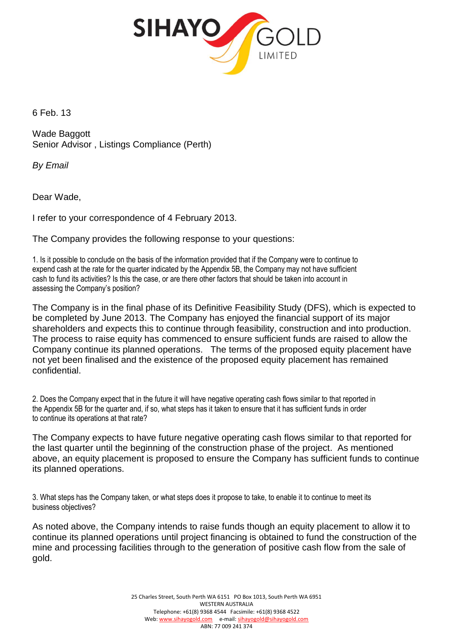

6 Feb. 13

Wade Baggott Senior Advisor , Listings Compliance (Perth)

*By Email*

Dear Wade,

I refer to your correspondence of 4 February 2013.

The Company provides the following response to your questions:

1. Is it possible to conclude on the basis of the information provided that if the Company were to continue to expend cash at the rate for the quarter indicated by the Appendix 5B, the Company may not have sufficient cash to fund its activities? Is this the case, or are there other factors that should be taken into account in assessing the Company's position?

The Company is in the final phase of its Definitive Feasibility Study (DFS), which is expected to be completed by June 2013. The Company has enjoyed the financial support of its major shareholders and expects this to continue through feasibility, construction and into production. The process to raise equity has commenced to ensure sufficient funds are raised to allow the Company continue its planned operations. The terms of the proposed equity placement have not yet been finalised and the existence of the proposed equity placement has remained confidential.

2. Does the Company expect that in the future it will have negative operating cash flows similar to that reported in the Appendix 5B for the quarter and, if so, what steps has it taken to ensure that it has sufficient funds in order to continue its operations at that rate?

The Company expects to have future negative operating cash flows similar to that reported for the last quarter until the beginning of the construction phase of the project. As mentioned above, an equity placement is proposed to ensure the Company has sufficient funds to continue its planned operations.

3. What steps has the Company taken, or what steps does it propose to take, to enable it to continue to meet its business objectives?

As noted above, the Company intends to raise funds though an equity placement to allow it to continue its planned operations until project financing is obtained to fund the construction of the mine and processing facilities through to the generation of positive cash flow from the sale of gold.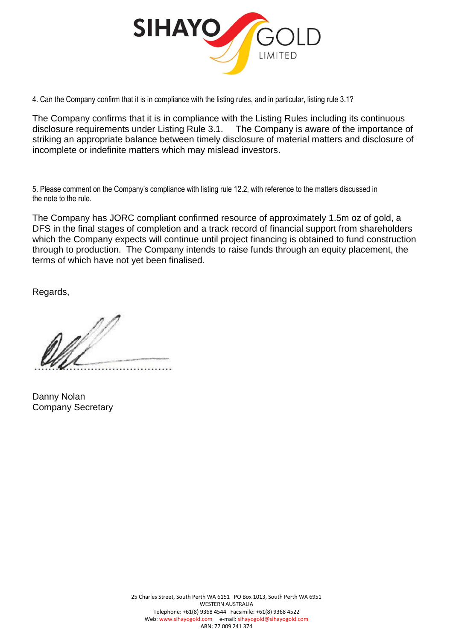

4. Can the Company confirm that it is in compliance with the listing rules, and in particular, listing rule 3.1?

The Company confirms that it is in compliance with the Listing Rules including its continuous disclosure requirements under Listing Rule 3.1. The Company is aware of the importance of striking an appropriate balance between timely disclosure of material matters and disclosure of incomplete or indefinite matters which may mislead investors.

5. Please comment on the Company's compliance with listing rule 12.2, with reference to the matters discussed in the note to the rule.

The Company has JORC compliant confirmed resource of approximately 1.5m oz of gold, a DFS in the final stages of completion and a track record of financial support from shareholders which the Company expects will continue until project financing is obtained to fund construction through to production. The Company intends to raise funds through an equity placement, the terms of which have not yet been finalised.

Regards,

Danny Nolan Company Secretary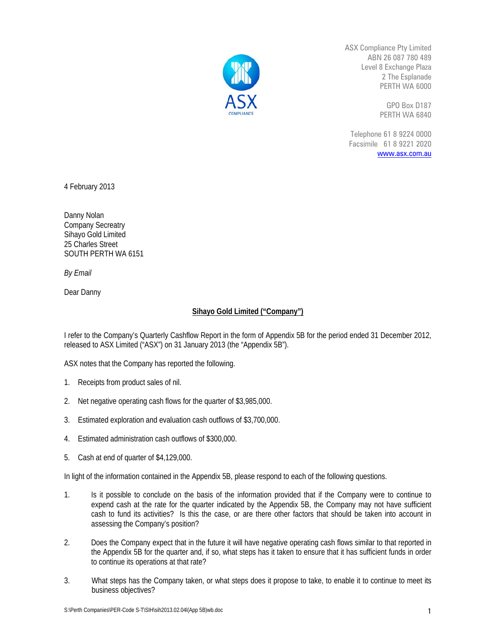

ASX Compliance Pty Limited ABN 26 087 780 489 Level 8 Exchange Plaza 2 The Esplanade PERTH WA 6000

> GPO Box D187 PERTH WA 6840

Telephone 61 8 9224 0000 Facsimile 61 8 9221 2020 www.asx.com.au

4 February 2013

Danny Nolan Company Secreatry Sihayo Gold Limited 25 Charles Street SOUTH PERTH WA 6151

*By Email* 

Dear Danny

## **Sihayo Gold Limited ("Company")**

I refer to the Company's Quarterly Cashflow Report in the form of Appendix 5B for the period ended 31 December 2012, released to ASX Limited ("ASX") on 31 January 2013 (the "Appendix 5B").

ASX notes that the Company has reported the following.

- 1. Receipts from product sales of nil.
- 2. Net negative operating cash flows for the quarter of \$3,985,000.
- 3. Estimated exploration and evaluation cash outflows of \$3,700,000.
- 4. Estimated administration cash outflows of \$300,000.
- 5. Cash at end of quarter of \$4,129,000.

In light of the information contained in the Appendix 5B, please respond to each of the following questions.

- 1. Is it possible to conclude on the basis of the information provided that if the Company were to continue to expend cash at the rate for the quarter indicated by the Appendix 5B, the Company may not have sufficient cash to fund its activities? Is this the case, or are there other factors that should be taken into account in assessing the Company's position?
- 2. Does the Company expect that in the future it will have negative operating cash flows similar to that reported in the Appendix 5B for the quarter and, if so, what steps has it taken to ensure that it has sufficient funds in order to continue its operations at that rate?
- 3. What steps has the Company taken, or what steps does it propose to take, to enable it to continue to meet its business objectives?